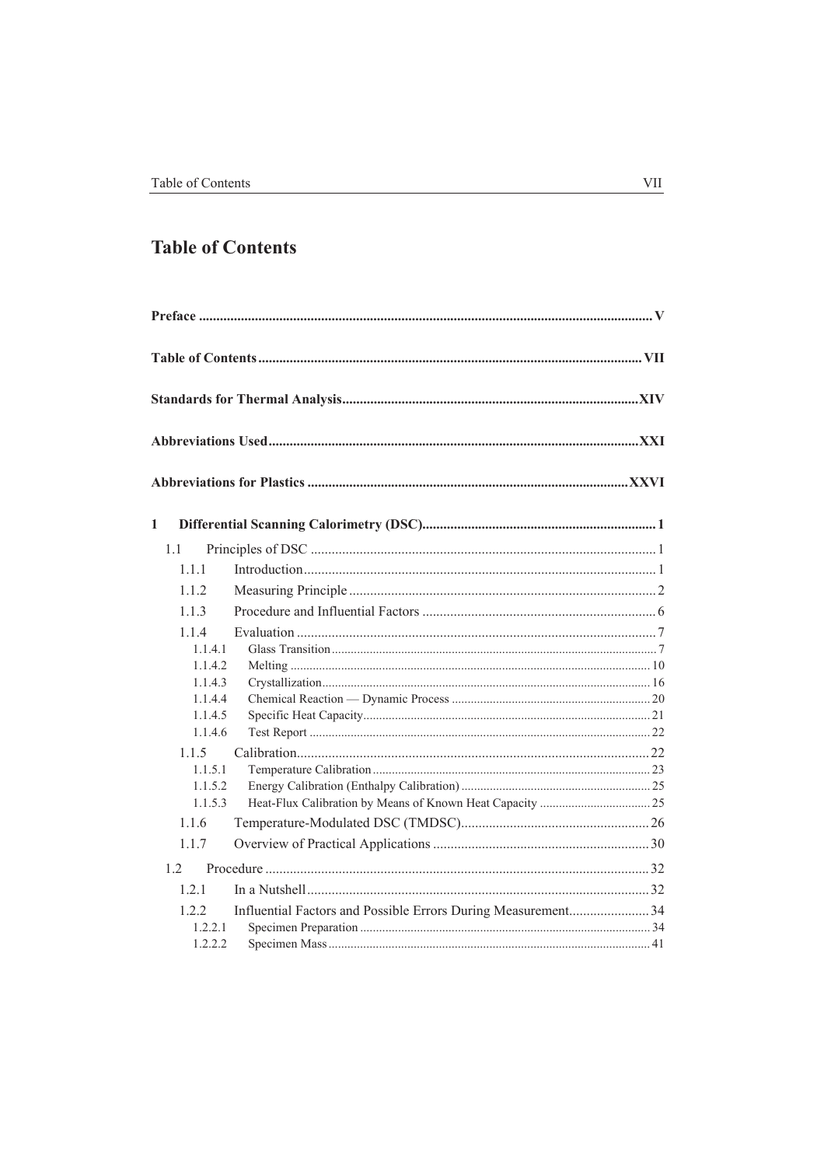## **Table of Contents**

| $\mathbf{1}$<br>1.1<br>1.1.1<br>112<br>1.1.3<br>114<br>1.1.4.1<br>1.1.4.2<br>1.1.4.3<br>1.1.4.4<br>1.1.4.5<br>1.1.4.6<br>1.1.5<br>1.1.5.1<br>1.1.5.2<br>1.1.5.3<br>1.1.6<br>117<br>1.2<br>121<br>Influential Factors and Possible Errors During Measurement34<br>122<br>1.2.2.1<br>1.2.2.2 |  |  |
|--------------------------------------------------------------------------------------------------------------------------------------------------------------------------------------------------------------------------------------------------------------------------------------------|--|--|
|                                                                                                                                                                                                                                                                                            |  |  |
|                                                                                                                                                                                                                                                                                            |  |  |
|                                                                                                                                                                                                                                                                                            |  |  |
|                                                                                                                                                                                                                                                                                            |  |  |
|                                                                                                                                                                                                                                                                                            |  |  |
|                                                                                                                                                                                                                                                                                            |  |  |
|                                                                                                                                                                                                                                                                                            |  |  |
|                                                                                                                                                                                                                                                                                            |  |  |
|                                                                                                                                                                                                                                                                                            |  |  |
|                                                                                                                                                                                                                                                                                            |  |  |
|                                                                                                                                                                                                                                                                                            |  |  |
|                                                                                                                                                                                                                                                                                            |  |  |
|                                                                                                                                                                                                                                                                                            |  |  |
|                                                                                                                                                                                                                                                                                            |  |  |
|                                                                                                                                                                                                                                                                                            |  |  |
|                                                                                                                                                                                                                                                                                            |  |  |
|                                                                                                                                                                                                                                                                                            |  |  |
|                                                                                                                                                                                                                                                                                            |  |  |
|                                                                                                                                                                                                                                                                                            |  |  |
|                                                                                                                                                                                                                                                                                            |  |  |
|                                                                                                                                                                                                                                                                                            |  |  |
|                                                                                                                                                                                                                                                                                            |  |  |
|                                                                                                                                                                                                                                                                                            |  |  |
|                                                                                                                                                                                                                                                                                            |  |  |
|                                                                                                                                                                                                                                                                                            |  |  |
|                                                                                                                                                                                                                                                                                            |  |  |
|                                                                                                                                                                                                                                                                                            |  |  |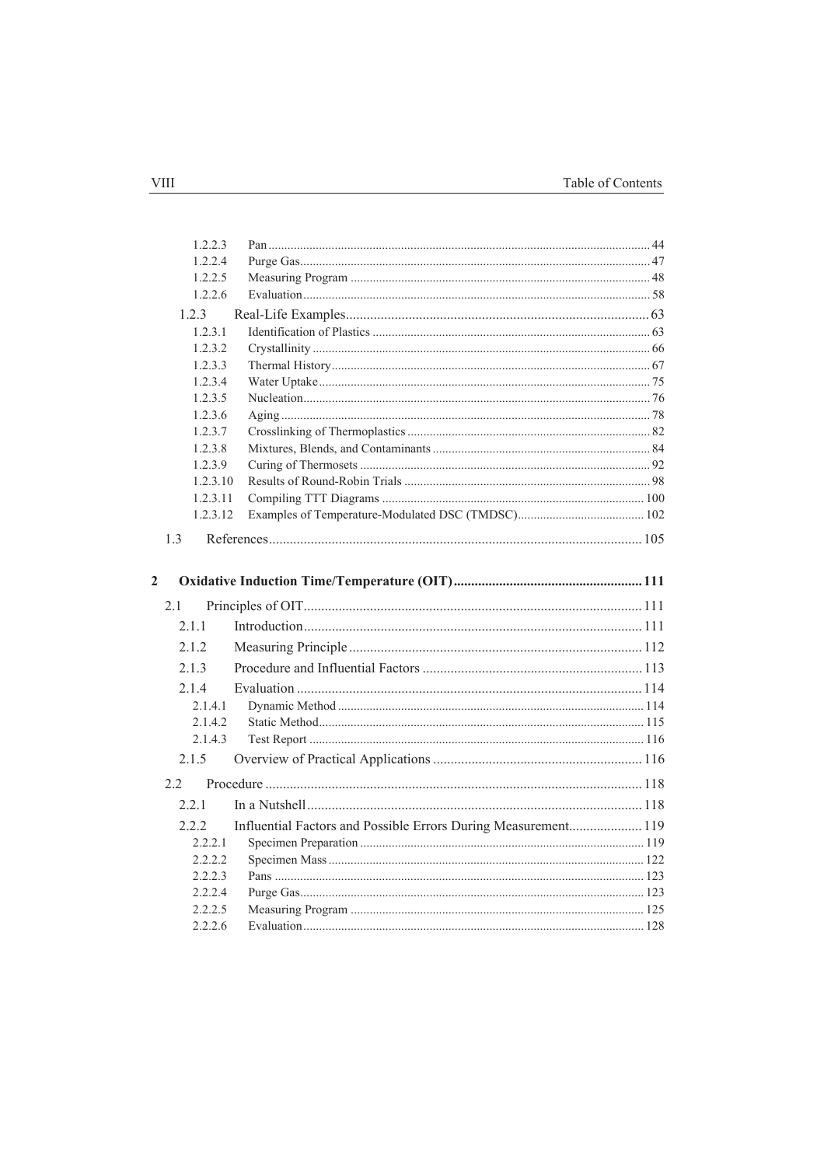|                | 1.2.2.3  |                                                                |  |
|----------------|----------|----------------------------------------------------------------|--|
|                | 1.2.2.4  |                                                                |  |
|                | 1.2.2.5  |                                                                |  |
|                | 1.2.2.6  |                                                                |  |
|                | 1.2.3    |                                                                |  |
|                | 1.2.3.1  |                                                                |  |
|                | 1.2.3.2  |                                                                |  |
|                | 1.2.3.3  |                                                                |  |
|                | 1.2.3.4  |                                                                |  |
|                | 1.2.3.5  |                                                                |  |
|                | 1.2.3.6  |                                                                |  |
|                | 1.2.3.7  |                                                                |  |
|                | 1.2.3.8  |                                                                |  |
|                | 1.2.3.9  |                                                                |  |
|                | 1.2.3.10 |                                                                |  |
|                | 1.2.3.11 |                                                                |  |
|                | 1.2.3.12 |                                                                |  |
|                | 1.3      |                                                                |  |
|                |          |                                                                |  |
| $\overline{2}$ |          |                                                                |  |
|                | 2.1      |                                                                |  |
|                | 2.1.1    |                                                                |  |
|                | 2.1.2    |                                                                |  |
|                | 2.1.3    |                                                                |  |
|                |          |                                                                |  |
|                | 2.1.4    |                                                                |  |
|                | 2.1.4.1  |                                                                |  |
|                | 2.1.4.2  |                                                                |  |
|                | 2.1.4.3  |                                                                |  |
|                | 2.1.5    |                                                                |  |
|                | 2.2      |                                                                |  |
|                | 2.2.1    |                                                                |  |
|                | 2.2.2    | Influential Factors and Possible Errors During Measurement 119 |  |
|                | 2.2.2.1  |                                                                |  |
|                | 2.2.2.2  |                                                                |  |
|                | 2.2.2.3  |                                                                |  |
|                | 2.2.2.4  |                                                                |  |
|                | 2.2.2.5  |                                                                |  |
|                | 2.2.2.6  |                                                                |  |
|                |          |                                                                |  |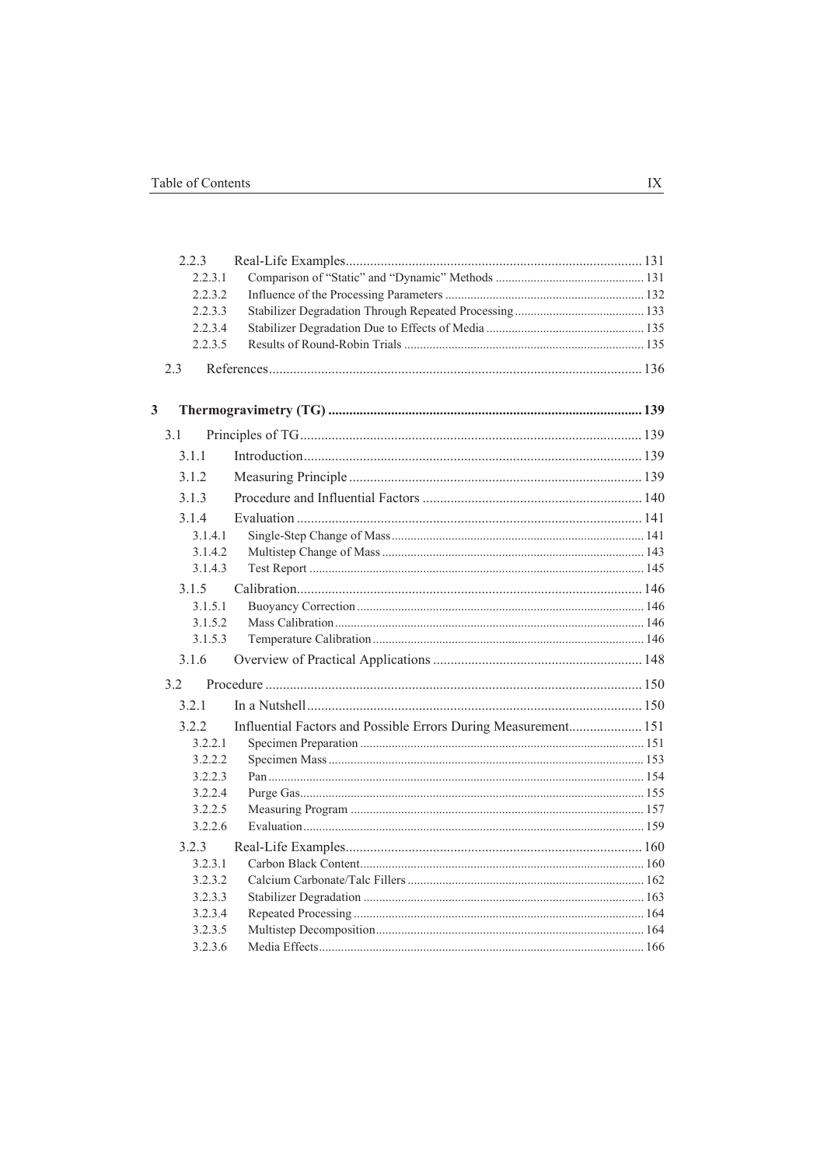|                         |     | 2.2.3              |                                                                |  |
|-------------------------|-----|--------------------|----------------------------------------------------------------|--|
|                         |     | 2.2.3.1            |                                                                |  |
|                         |     | 2.2.3.2            |                                                                |  |
|                         |     | 2.2.3.3            |                                                                |  |
|                         |     | 2.2.3.4            |                                                                |  |
|                         |     | 2.2.3.5            |                                                                |  |
|                         | 23  |                    |                                                                |  |
| $\overline{\mathbf{3}}$ |     |                    |                                                                |  |
|                         | 3.1 |                    |                                                                |  |
|                         |     | 3 1 1              |                                                                |  |
|                         |     | 3.1.2              |                                                                |  |
|                         |     | 3.1.3              |                                                                |  |
|                         |     | 3.1.4              |                                                                |  |
|                         |     | 3.1.4.1            |                                                                |  |
|                         |     | 3.1.4.2            |                                                                |  |
|                         |     | 3.1.4.3            |                                                                |  |
|                         |     | 3.1.5              |                                                                |  |
|                         |     | 3.1.5.1            |                                                                |  |
|                         |     | 3.1.5.2            |                                                                |  |
|                         |     | 3.1.5.3            |                                                                |  |
|                         |     | 3.1.6              |                                                                |  |
|                         | 3.2 |                    |                                                                |  |
|                         |     | 3.2.1              |                                                                |  |
|                         |     | 3.2.2              | Influential Factors and Possible Errors During Measurement 151 |  |
|                         |     | 3.2.2.1            |                                                                |  |
|                         |     | 3.2.2.2            |                                                                |  |
|                         |     | 3.2.2.3            |                                                                |  |
|                         |     | 3.2.2.4            |                                                                |  |
|                         |     | 3.2.2.5            |                                                                |  |
|                         |     | 3.2.2.6            |                                                                |  |
|                         |     | 3.2.3              |                                                                |  |
|                         |     | 3.2.3.1            |                                                                |  |
|                         |     | 3.2.3.2            |                                                                |  |
|                         |     | 3.2.3.3            |                                                                |  |
|                         |     | 3.2.3.4            |                                                                |  |
|                         |     | 3.2.3.5<br>3.2.3.6 |                                                                |  |
|                         |     |                    |                                                                |  |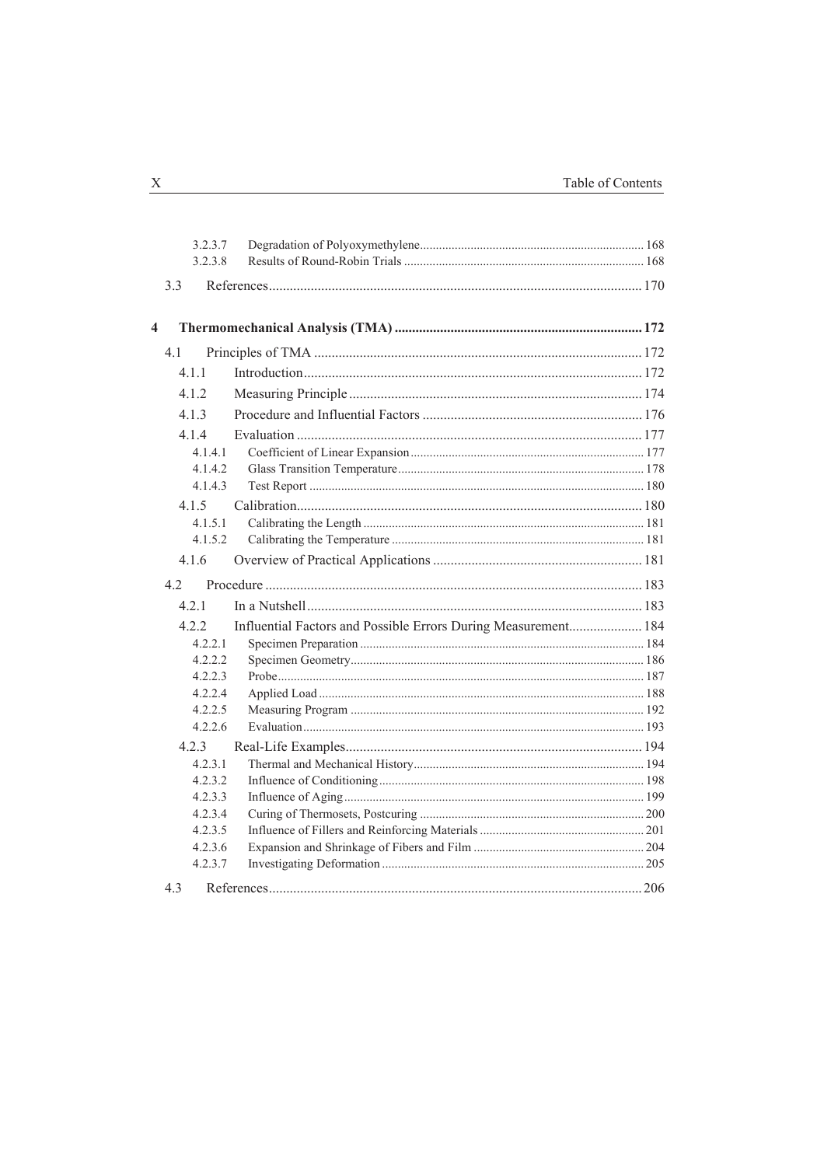|                         | 3.2.3.7 |                                                                |  |
|-------------------------|---------|----------------------------------------------------------------|--|
|                         | 3.2.3.8 |                                                                |  |
|                         | 3.3     |                                                                |  |
| $\overline{\mathbf{4}}$ |         |                                                                |  |
|                         | 4.1     |                                                                |  |
|                         | 4.1.1   |                                                                |  |
|                         | 4.1.2   |                                                                |  |
|                         | 4.1.3   |                                                                |  |
|                         | 4.1.4   |                                                                |  |
|                         | 4.1.4.1 |                                                                |  |
|                         | 4.1.4.2 |                                                                |  |
|                         | 4.1.4.3 |                                                                |  |
|                         | 4.1.5   |                                                                |  |
|                         | 4.1.5.1 |                                                                |  |
|                         | 4.1.5.2 |                                                                |  |
|                         | 4.1.6   |                                                                |  |
|                         | 42      |                                                                |  |
|                         | 421     |                                                                |  |
|                         | 4.2.2   | Influential Factors and Possible Errors During Measurement 184 |  |
|                         | 4.2.2.1 |                                                                |  |
|                         | 4.2.2.2 |                                                                |  |
|                         | 4.2.2.3 |                                                                |  |
|                         | 4.2.2.4 |                                                                |  |
|                         | 4.2.2.5 |                                                                |  |
|                         | 4.2.2.6 |                                                                |  |
|                         | 4.2.3   |                                                                |  |
|                         | 4.2.3.1 |                                                                |  |
|                         | 4.2.3.2 |                                                                |  |
|                         | 4.2.3.3 |                                                                |  |
|                         | 4.2.3.4 |                                                                |  |
|                         | 4.2.3.5 |                                                                |  |
|                         | 4.2.3.6 |                                                                |  |
|                         | 4.2.3.7 |                                                                |  |
|                         | 4.3     |                                                                |  |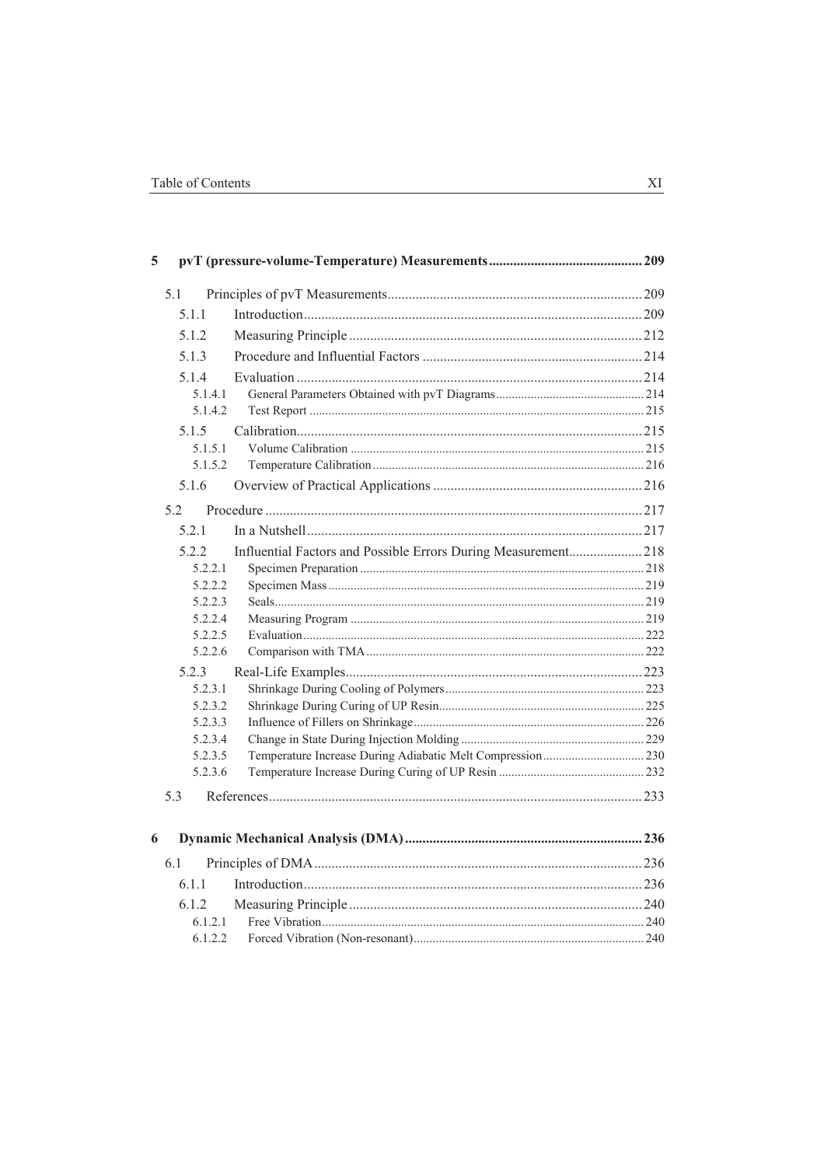| 5 |                    |                                                                |  |
|---|--------------------|----------------------------------------------------------------|--|
|   | 5.1                |                                                                |  |
|   | 5.1.1              |                                                                |  |
|   | 5.1.2              |                                                                |  |
|   | 5.1.3              |                                                                |  |
|   | 5.1.4              |                                                                |  |
|   | 5.1.4.1            |                                                                |  |
|   | 5.1.4.2            |                                                                |  |
|   | 5.1.5              |                                                                |  |
|   | 5.1.5.1            |                                                                |  |
|   | 5.1.5.2            |                                                                |  |
|   | 5.1.6              |                                                                |  |
|   | 52                 |                                                                |  |
|   | 521                |                                                                |  |
|   | 5.2.2              | Influential Factors and Possible Errors During Measurement 218 |  |
|   | 5.2.2.1            |                                                                |  |
|   | 5.2.2.2            |                                                                |  |
|   | 5.2.2.3            |                                                                |  |
|   | 5.2.2.4            |                                                                |  |
|   | 5.2.2.5            |                                                                |  |
|   | 5.2.2.6            |                                                                |  |
|   | 5.2.3              |                                                                |  |
|   | 5.2.3.1            |                                                                |  |
|   | 5.2.3.2            |                                                                |  |
|   | 5.2.3.3            |                                                                |  |
|   | 5.2.3.4            |                                                                |  |
|   | 5.2.3.5<br>5.2.3.6 |                                                                |  |
|   |                    |                                                                |  |
|   | 5.3                |                                                                |  |
| 6 |                    |                                                                |  |
|   | 6.1                |                                                                |  |
|   | 6.1.1              |                                                                |  |
|   | 6.1.2              |                                                                |  |
|   | 6.1.2.1            |                                                                |  |
|   | 6.1.2.2            |                                                                |  |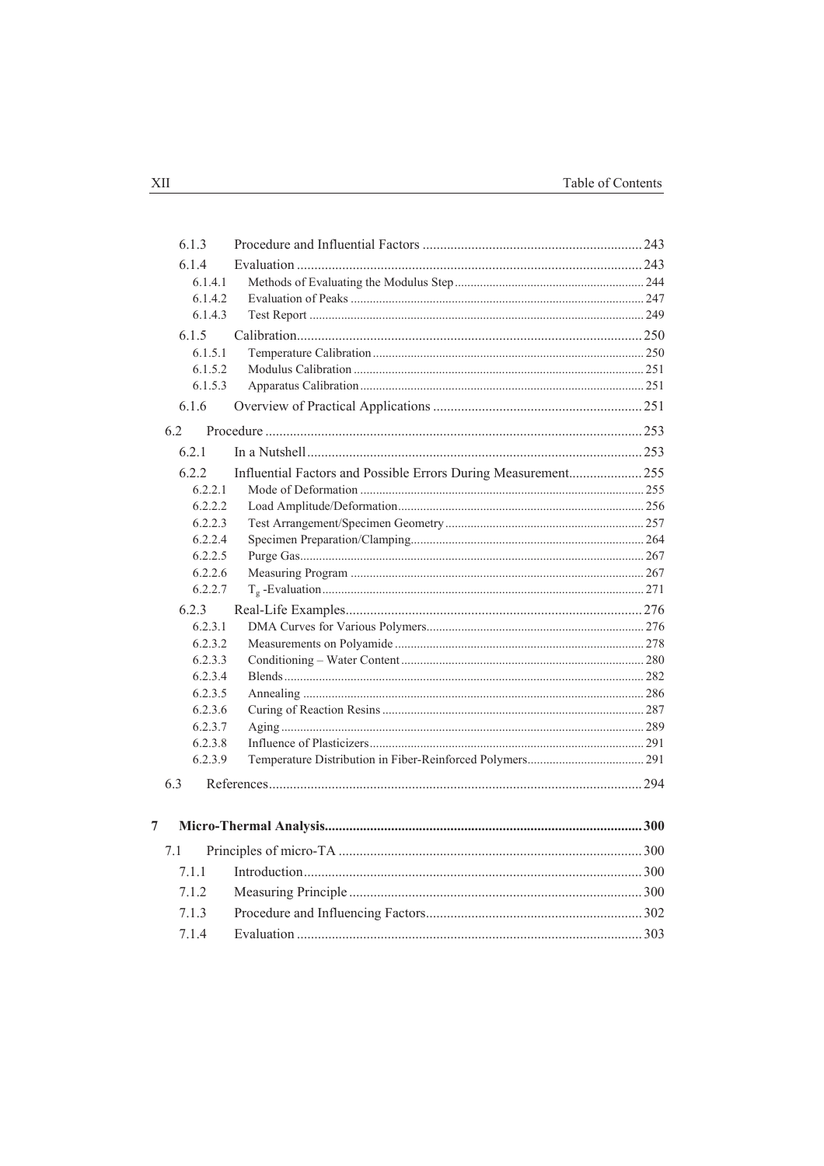| 6.1.3   |                                                                |  |
|---------|----------------------------------------------------------------|--|
| 6.1.4   |                                                                |  |
| 6.1.4.1 |                                                                |  |
| 6.1.4.2 |                                                                |  |
| 6.1.4.3 |                                                                |  |
| 6.1.5   |                                                                |  |
| 6.1.5.1 |                                                                |  |
| 6.1.5.2 |                                                                |  |
| 6.1.5.3 |                                                                |  |
| 6.1.6   |                                                                |  |
| 6.2     |                                                                |  |
| 6.2.1   |                                                                |  |
| 6.2.2   | Influential Factors and Possible Errors During Measurement 255 |  |
| 6.2.2.1 |                                                                |  |
| 6.2.2.2 |                                                                |  |
| 6.2.2.3 |                                                                |  |
| 6.2.2.4 |                                                                |  |
| 6.2.2.5 |                                                                |  |
| 6.2.2.6 |                                                                |  |
| 6.2.2.7 |                                                                |  |
| 6.2.3   |                                                                |  |
| 6.2.3.1 |                                                                |  |
| 6.2.3.2 |                                                                |  |
| 6.2.3.3 |                                                                |  |
| 6.2.3.4 |                                                                |  |
| 6.2.3.5 |                                                                |  |
| 6.2.3.6 |                                                                |  |
| 6.2.3.7 |                                                                |  |
| 6.2.3.8 |                                                                |  |
| 6.2.3.9 |                                                                |  |
| 6.3     |                                                                |  |
| 7       |                                                                |  |
| 7.1     |                                                                |  |
| 7.1.1   |                                                                |  |
| 7.1.2   |                                                                |  |
| 7.1.3   |                                                                |  |
|         |                                                                |  |
| 7.1.4   |                                                                |  |